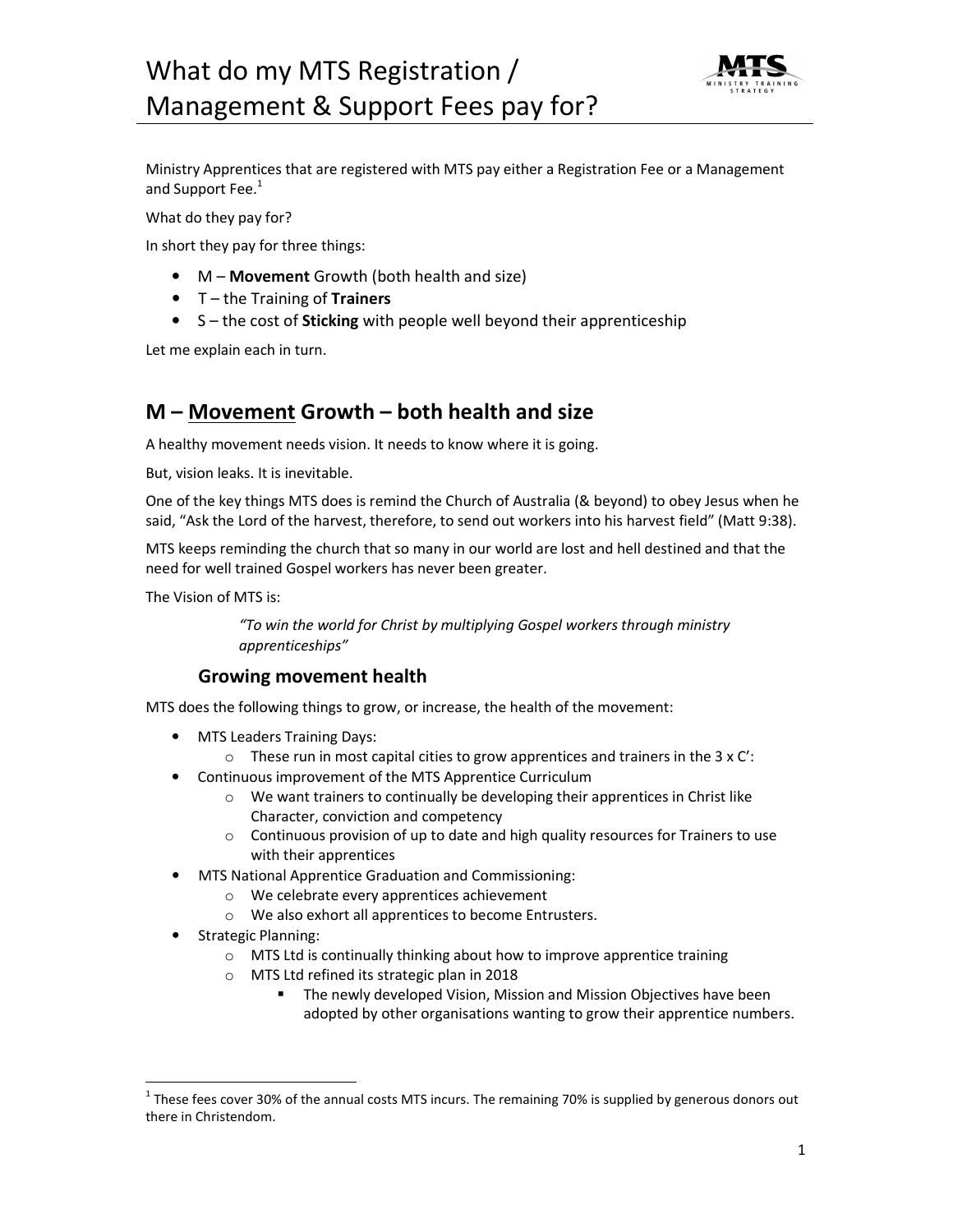# What do my MTS Registration / Management & Support Fees pay for?



Ministry Apprentices that are registered with MTS pay either a Registration Fee or a Management and Support Fee.<sup>1</sup>

What do they pay for?

In short they pay for three things:

- M **Movement** Growth (both health and size)
- T the Training of **Trainers**
- S the cost of **Sticking** with people well beyond their apprenticeship

Let me explain each in turn.

## **M – Movement Growth – both health and size**

A healthy movement needs vision. It needs to know where it is going.

But, vision leaks. It is inevitable.

One of the key things MTS does is remind the Church of Australia (& beyond) to obey Jesus when he said, "Ask the Lord of the harvest, therefore, to send out workers into his harvest field" (Matt 9:38).

MTS keeps reminding the church that so many in our world are lost and hell destined and that the need for well trained Gospel workers has never been greater.

The Vision of MTS is:

*"To win the world for Christ by multiplying Gospel workers through ministry apprenticeships"* 

#### **Growing movement health**

MTS does the following things to grow, or increase, the health of the movement:

- MTS Leaders Training Days:
	- $\circ$  These run in most capital cities to grow apprentices and trainers in the 3 x C':
- Continuous improvement of the MTS Apprentice Curriculum
	- o We want trainers to continually be developing their apprentices in Christ like Character, conviction and competency
	- $\circ$  Continuous provision of up to date and high quality resources for Trainers to use with their apprentices
- MTS National Apprentice Graduation and Commissioning:
	- o We celebrate every apprentices achievement
	- o We also exhort all apprentices to become Entrusters.
- Strategic Planning:

l,

- o MTS Ltd is continually thinking about how to improve apprentice training
- o MTS Ltd refined its strategic plan in 2018
	- The newly developed Vision, Mission and Mission Objectives have been adopted by other organisations wanting to grow their apprentice numbers.

 $^1$  These fees cover 30% of the annual costs MTS incurs. The remaining 70% is supplied by generous donors out there in Christendom.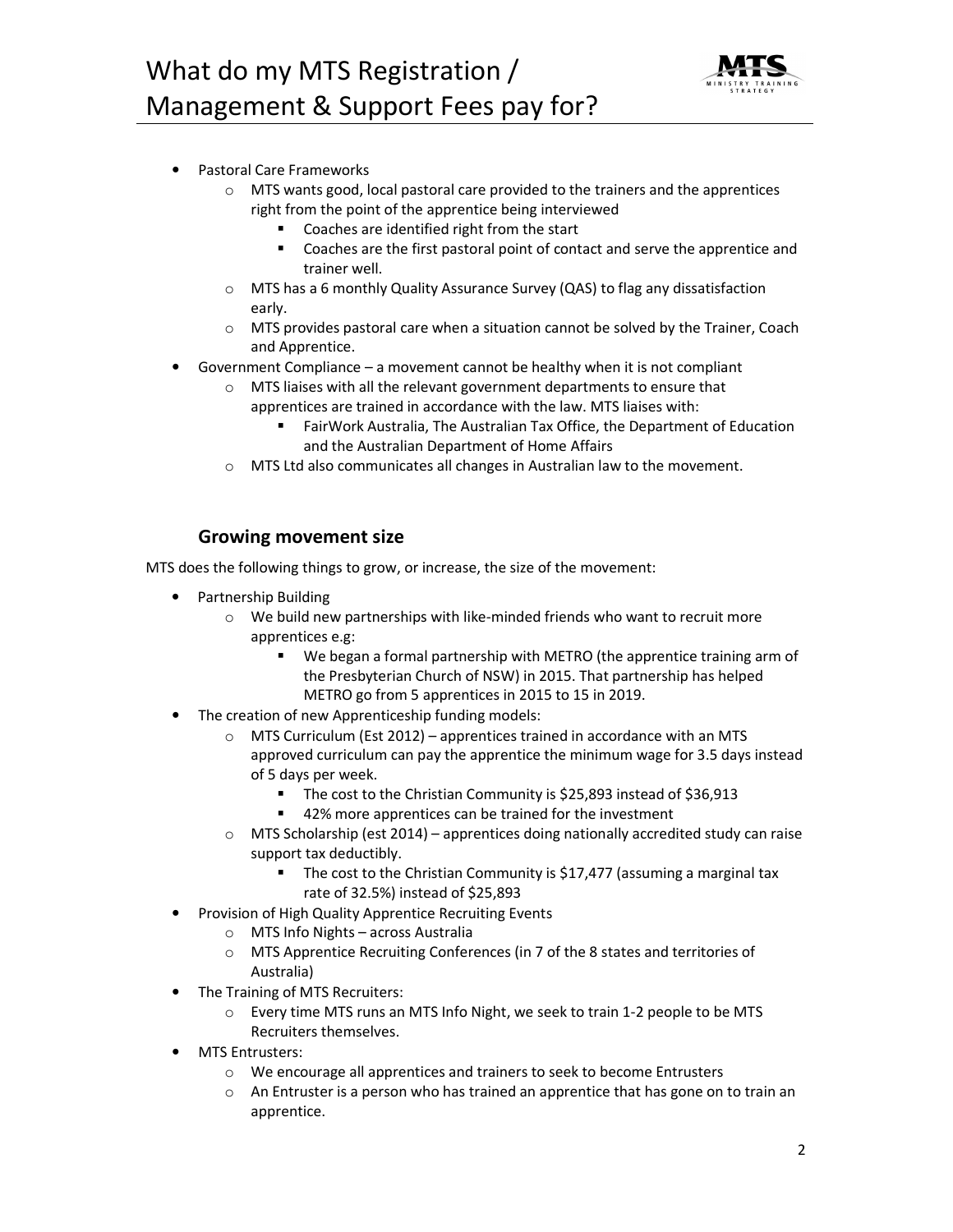

- Pastoral Care Frameworks
	- $\circ$  MTS wants good, local pastoral care provided to the trainers and the apprentices right from the point of the apprentice being interviewed
		- Coaches are identified right from the start
		- Coaches are the first pastoral point of contact and serve the apprentice and trainer well.
	- o MTS has a 6 monthly Quality Assurance Survey (QAS) to flag any dissatisfaction early.
	- $\circ$  MTS provides pastoral care when a situation cannot be solved by the Trainer, Coach and Apprentice.
- Government Compliance a movement cannot be healthy when it is not compliant
	- o MTS liaises with all the relevant government departments to ensure that apprentices are trained in accordance with the law. MTS liaises with:
		- FairWork Australia, The Australian Tax Office, the Department of Education and the Australian Department of Home Affairs
	- o MTS Ltd also communicates all changes in Australian law to the movement.

### **Growing movement size**

MTS does the following things to grow, or increase, the size of the movement:

- Partnership Building
	- o We build new partnerships with like-minded friends who want to recruit more apprentices e.g:
		- We began a formal partnership with METRO (the apprentice training arm of the Presbyterian Church of NSW) in 2015. That partnership has helped METRO go from 5 apprentices in 2015 to 15 in 2019.
- The creation of new Apprenticeship funding models:
	- o MTS Curriculum (Est 2012) apprentices trained in accordance with an MTS approved curriculum can pay the apprentice the minimum wage for 3.5 days instead of 5 days per week.
		- The cost to the Christian Community is \$25,893 instead of \$36,913
		- 42% more apprentices can be trained for the investment
	- $\circ$  MTS Scholarship (est 2014) apprentices doing nationally accredited study can raise support tax deductibly.
		- **The cost to the Christian Community is \$17,477 (assuming a marginal tax** rate of 32.5%) instead of \$25,893
- Provision of High Quality Apprentice Recruiting Events
	- o MTS Info Nights across Australia
	- o MTS Apprentice Recruiting Conferences (in 7 of the 8 states and territories of Australia)
- The Training of MTS Recruiters:
	- o Every time MTS runs an MTS Info Night, we seek to train 1-2 people to be MTS Recruiters themselves.
- MTS Entrusters:
	- o We encourage all apprentices and trainers to seek to become Entrusters
	- $\circ$  An Entruster is a person who has trained an apprentice that has gone on to train an apprentice.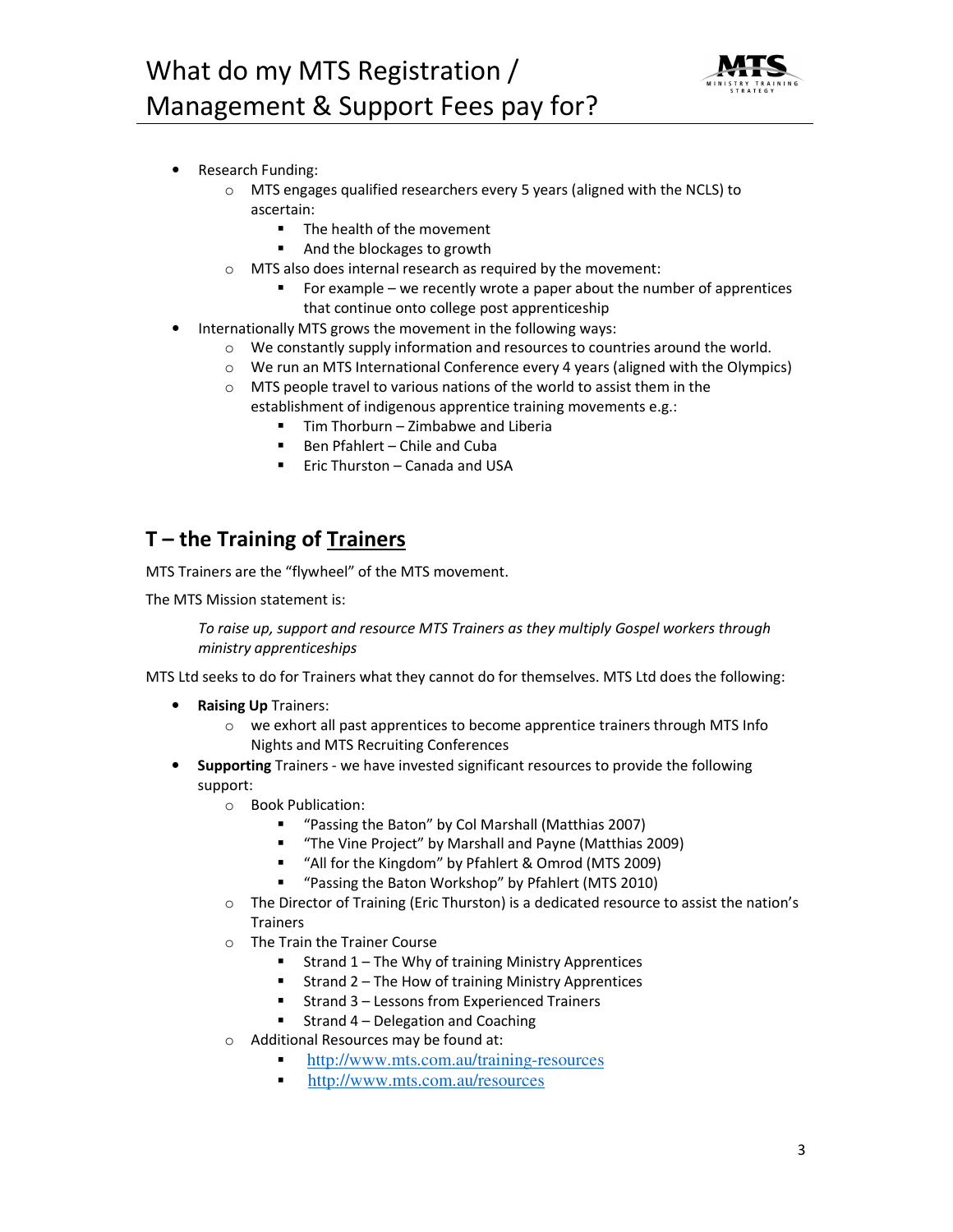

- Research Funding:
	- o MTS engages qualified researchers every 5 years (aligned with the NCLS) to ascertain:
		- The health of the movement
		- And the blockages to growth
	- o MTS also does internal research as required by the movement:
		- For example we recently wrote a paper about the number of apprentices that continue onto college post apprenticeship
- Internationally MTS grows the movement in the following ways:
	- $\circ$  We constantly supply information and resources to countries around the world.
	- o We run an MTS International Conference every 4 years (aligned with the Olympics)
	- o MTS people travel to various nations of the world to assist them in the establishment of indigenous apprentice training movements e.g.:
		- Tim Thorburn Zimbabwe and Liberia
		- Ben Pfahlert Chile and Cuba
		- Eric Thurston Canada and USA

## **T – the Training of Trainers**

MTS Trainers are the "flywheel" of the MTS movement.

The MTS Mission statement is:

*To raise up, support and resource MTS Trainers as they multiply Gospel workers through ministry apprenticeships* 

MTS Ltd seeks to do for Trainers what they cannot do for themselves. MTS Ltd does the following:

- **Raising Up** Trainers:
	- $\circ$  we exhort all past apprentices to become apprentice trainers through MTS Info Nights and MTS Recruiting Conferences
- **Supporting** Trainers we have invested significant resources to provide the following support:
	- o Book Publication:
		- "Passing the Baton" by Col Marshall (Matthias 2007)
		- "The Vine Project" by Marshall and Payne (Matthias 2009)
		- "All for the Kingdom" by Pfahlert & Omrod (MTS 2009)
		- "Passing the Baton Workshop" by Pfahlert (MTS 2010)
	- $\circ$  The Director of Training (Eric Thurston) is a dedicated resource to assist the nation's **Trainers**
	- o The Train the Trainer Course
		- Strand  $1$  The Why of training Ministry Apprentices
		- $\blacksquare$  Strand 2 The How of training Ministry Apprentices
		- Strand 3 Lessons from Experienced Trainers
		- Strand  $4 -$  Delegation and Coaching
	- o Additional Resources may be found at:
		- http://www.mts.com.au/training-resources
		- http://www.mts.com.au/resources